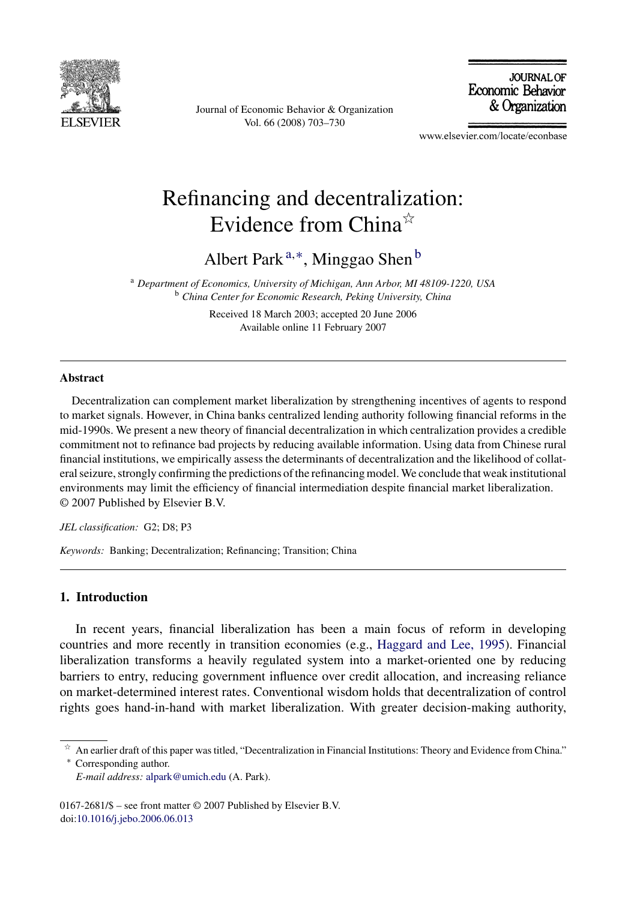

Journal of Economic Behavior & Organization Vol. 66 (2008) 703–730

**JOURNAL OF** Economic Behavior & Organization

www.elsevier.com/locate/econbase

## Refinancing and decentralization: Evidence from China $*$

Albert Park <sup>a</sup>,∗, Minggao Shen <sup>b</sup>

<sup>a</sup> *Department of Economics, University of Michigan, Ann Arbor, MI 48109-1220, USA* <sup>b</sup> *China Center for Economic Research, Peking University, China*

> Received 18 March 2003; accepted 20 June 2006 Available online 11 February 2007

## **Abstract**

Decentralization can complement market liberalization by strengthening incentives of agents to respond to market signals. However, in China banks centralized lending authority following financial reforms in the mid-1990s. We present a new theory of financial decentralization in which centralization provides a credible commitment not to refinance bad projects by reducing available information. Using data from Chinese rural financial institutions, we empirically assess the determinants of decentralization and the likelihood of collateral seizure, strongly confirming the predictions of the refinancing model. We conclude that weak institutional environments may limit the efficiency of financial intermediation despite financial market liberalization. © 2007 Published by Elsevier B.V.

*JEL classification:* G2; D8; P3

*Keywords:* Banking; Decentralization; Refinancing; Transition; China

## **1. Introduction**

In recent years, financial liberalization has been a main focus of reform in developing countries and more recently in transition economies (e.g., [Haggard and Lee, 1995\).](#page--1-0) Financial liberalization transforms a heavily regulated system into a market-oriented one by reducing barriers to entry, reducing government influence over credit allocation, and increasing reliance on market-determined interest rates. Conventional wisdom holds that decentralization of control rights goes hand-in-hand with market liberalization. With greater decision-making authority,

 $\hat{P}$  An earlier draft of this paper was titled, "Decentralization in Financial Institutions: Theory and Evidence from China." ∗ Corresponding author.

*E-mail address:* [alpark@umich.edu](mailto:alpark@umich.edu) (A. Park).

<sup>0167-2681/\$ –</sup> see front matter © 2007 Published by Elsevier B.V. doi[:10.1016/j.jebo.2006.06.013](dx.doi.org/10.1016/j.jebo.2006.06.013)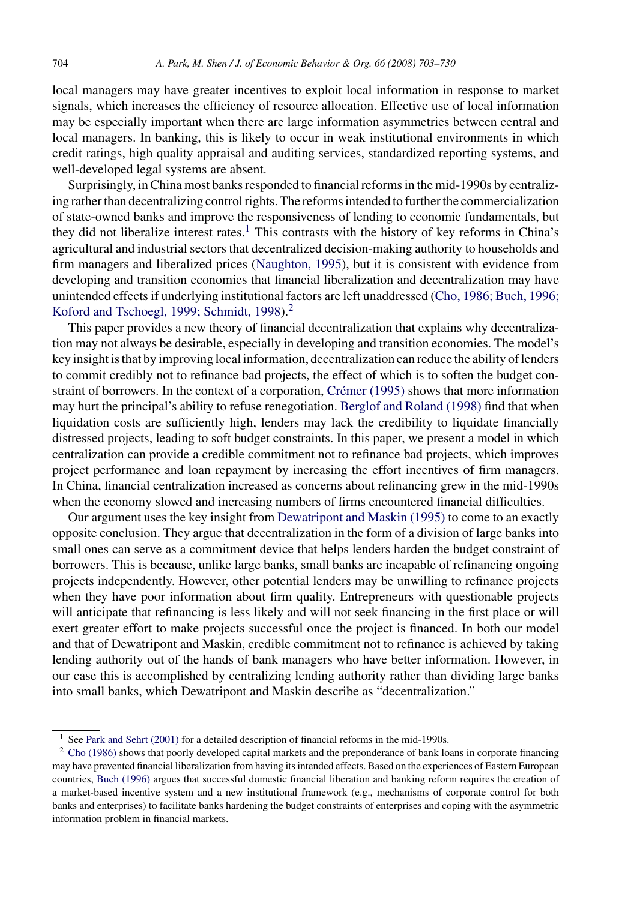local managers may have greater incentives to exploit local information in response to market signals, which increases the efficiency of resource allocation. Effective use of local information may be especially important when there are large information asymmetries between central and local managers. In banking, this is likely to occur in weak institutional environments in which credit ratings, high quality appraisal and auditing services, standardized reporting systems, and well-developed legal systems are absent.

Surprisingly, in China most banks responded to financial reforms in the mid-1990s by centralizing rather than decentralizing control rights. The reforms intended to further the commercialization of state-owned banks and improve the responsiveness of lending to economic fundamentals, but they did not liberalize interest rates.<sup>1</sup> This contrasts with the history of key reforms in China's agricultural and industrial sectors that decentralized decision-making authority to households and firm managers and liberalized prices [\(Naughton, 1995\),](#page--1-0) but it is consistent with evidence from developing and transition economies that financial liberalization and decentralization may have unintended effects if underlying institutional factors are left unaddressed ([Cho, 1986; Buch, 1996;](#page--1-0) [Koford and Tschoegl, 1999; Schmidt, 1998\).](#page--1-0)<sup>2</sup>

This paper provides a new theory of financial decentralization that explains why decentralization may not always be desirable, especially in developing and transition economies. The model's key insight is that by improving local information, decentralization can reduce the ability of lenders to commit credibly not to refinance bad projects, the effect of which is to soften the budget constraint of borrowers. In the context of a corporation, Crémer (1995) shows that more information may hurt the principal's ability to refuse renegotiation. [Berglof and Roland \(1998\)](#page--1-0) find that when liquidation costs are sufficiently high, lenders may lack the credibility to liquidate financially distressed projects, leading to soft budget constraints. In this paper, we present a model in which centralization can provide a credible commitment not to refinance bad projects, which improves project performance and loan repayment by increasing the effort incentives of firm managers. In China, financial centralization increased as concerns about refinancing grew in the mid-1990s when the economy slowed and increasing numbers of firms encountered financial difficulties.

Our argument uses the key insight from [Dewatripont and Maskin \(1995\)](#page--1-0) to come to an exactly opposite conclusion. They argue that decentralization in the form of a division of large banks into small ones can serve as a commitment device that helps lenders harden the budget constraint of borrowers. This is because, unlike large banks, small banks are incapable of refinancing ongoing projects independently. However, other potential lenders may be unwilling to refinance projects when they have poor information about firm quality. Entrepreneurs with questionable projects will anticipate that refinancing is less likely and will not seek financing in the first place or will exert greater effort to make projects successful once the project is financed. In both our model and that of Dewatripont and Maskin, credible commitment not to refinance is achieved by taking lending authority out of the hands of bank managers who have better information. However, in our case this is accomplished by centralizing lending authority rather than dividing large banks into small banks, which Dewatripont and Maskin describe as "decentralization."

 $1$  See [Park and Sehrt \(2001\)](#page--1-0) for a detailed description of financial reforms in the mid-1990s.

<sup>&</sup>lt;sup>2</sup> [Cho \(1986\)](#page--1-0) shows that poorly developed capital markets and the preponderance of bank loans in corporate financing may have prevented financial liberalization from having its intended effects. Based on the experiences of Eastern European countries, [Buch \(1996\)](#page--1-0) argues that successful domestic financial liberation and banking reform requires the creation of a market-based incentive system and a new institutional framework (e.g., mechanisms of corporate control for both banks and enterprises) to facilitate banks hardening the budget constraints of enterprises and coping with the asymmetric information problem in financial markets.